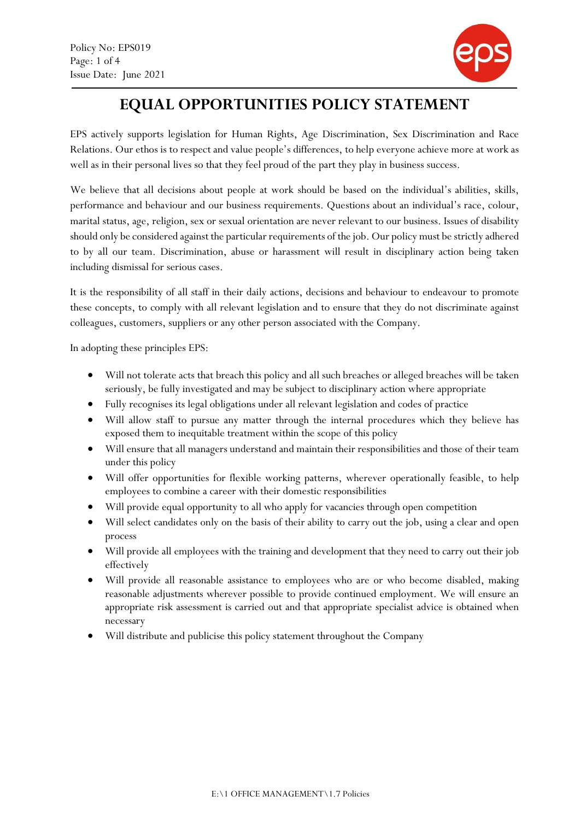f,



# EQUAL OPPORTUNITIES POLICY STATEMENT

EPS actively supports legislation for Human Rights, Age Discrimination, Sex Discrimination and Race Relations. Our ethos is to respect and value people's differences, to help everyone achieve more at work as well as in their personal lives so that they feel proud of the part they play in business success.

We believe that all decisions about people at work should be based on the individual's abilities, skills, performance and behaviour and our business requirements. Questions about an individual's race, colour, marital status, age, religion, sex or sexual orientation are never relevant to our business. Issues of disability should only be considered against the particular requirements of the job. Our policy must be strictly adhered to by all our team. Discrimination, abuse or harassment will result in disciplinary action being taken including dismissal for serious cases.

It is the responsibility of all staff in their daily actions, decisions and behaviour to endeavour to promote these concepts, to comply with all relevant legislation and to ensure that they do not discriminate against colleagues, customers, suppliers or any other person associated with the Company.

In adopting these principles EPS:

- Will not tolerate acts that breach this policy and all such breaches or alleged breaches will be taken seriously, be fully investigated and may be subject to disciplinary action where appropriate
- Fully recognises its legal obligations under all relevant legislation and codes of practice
- Will allow staff to pursue any matter through the internal procedures which they believe has exposed them to inequitable treatment within the scope of this policy
- Will ensure that all managers understand and maintain their responsibilities and those of their team under this policy
- Will offer opportunities for flexible working patterns, wherever operationally feasible, to help employees to combine a career with their domestic responsibilities
- Will provide equal opportunity to all who apply for vacancies through open competition
- Will select candidates only on the basis of their ability to carry out the job, using a clear and open process
- Will provide all employees with the training and development that they need to carry out their job effectively
- Will provide all reasonable assistance to employees who are or who become disabled, making reasonable adjustments wherever possible to provide continued employment. We will ensure an appropriate risk assessment is carried out and that appropriate specialist advice is obtained when necessary
- Will distribute and publicise this policy statement throughout the Company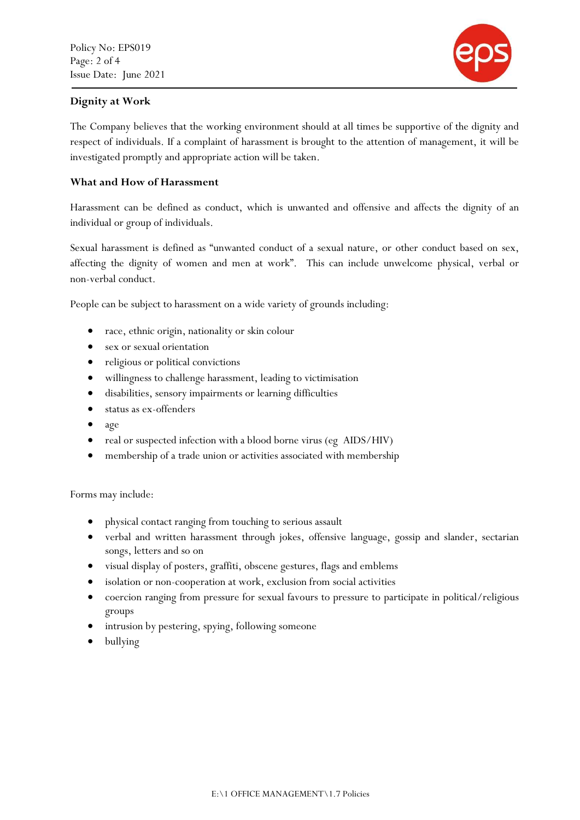

## f, Dignity at Work

The Company believes that the working environment should at all times be supportive of the dignity and respect of individuals. If a complaint of harassment is brought to the attention of management, it will be investigated promptly and appropriate action will be taken.

# What and How of Harassment

Harassment can be defined as conduct, which is unwanted and offensive and affects the dignity of an individual or group of individuals.

Sexual harassment is defined as "unwanted conduct of a sexual nature, or other conduct based on sex, affecting the dignity of women and men at work". This can include unwelcome physical, verbal or non-verbal conduct.

People can be subject to harassment on a wide variety of grounds including:

- race, ethnic origin, nationality or skin colour
- sex or sexual orientation
- religious or political convictions
- willingness to challenge harassment, leading to victimisation
- disabilities, sensory impairments or learning difficulties
- status as ex-offenders
- age
- real or suspected infection with a blood borne virus (eg AIDS/HIV)
- membership of a trade union or activities associated with membership

Forms may include:

- physical contact ranging from touching to serious assault
- verbal and written harassment through jokes, offensive language, gossip and slander, sectarian songs, letters and so on
- visual display of posters, graffiti, obscene gestures, flags and emblems
- isolation or non-cooperation at work, exclusion from social activities
- coercion ranging from pressure for sexual favours to pressure to participate in political/religious groups
- intrusion by pestering, spying, following someone
- bullying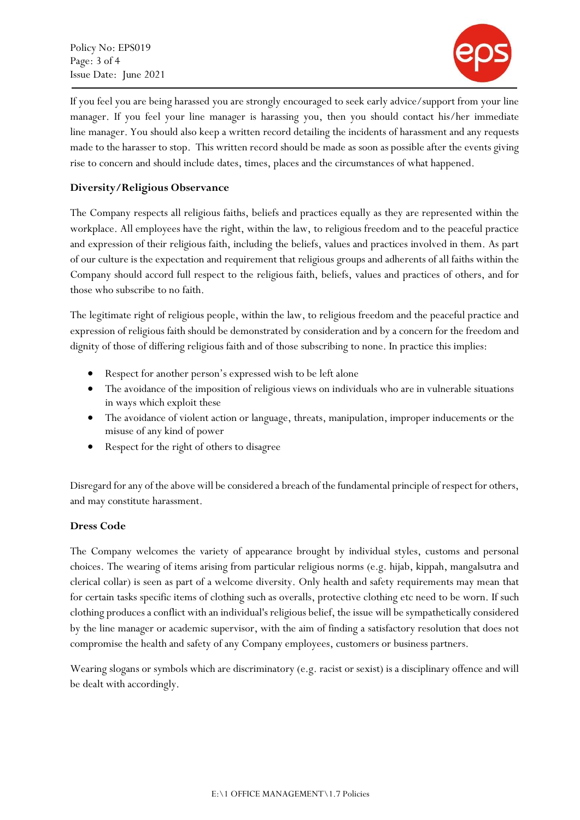Policy No: EPS019 Page: 3 of 4 Issue Date: June 2021

f,



If you feel you are being harassed you are strongly encouraged to seek early advice/support from your line manager. If you feel your line manager is harassing you, then you should contact his/her immediate line manager. You should also keep a written record detailing the incidents of harassment and any requests made to the harasser to stop. This written record should be made as soon as possible after the events giving rise to concern and should include dates, times, places and the circumstances of what happened.

# Diversity/Religious Observance

The Company respects all religious faiths, beliefs and practices equally as they are represented within the workplace. All employees have the right, within the law, to religious freedom and to the peaceful practice and expression of their religious faith, including the beliefs, values and practices involved in them. As part of our culture is the expectation and requirement that religious groups and adherents of all faiths within the Company should accord full respect to the religious faith, beliefs, values and practices of others, and for those who subscribe to no faith.

The legitimate right of religious people, within the law, to religious freedom and the peaceful practice and expression of religious faith should be demonstrated by consideration and by a concern for the freedom and dignity of those of differing religious faith and of those subscribing to none. In practice this implies:

- Respect for another person's expressed wish to be left alone
- The avoidance of the imposition of religious views on individuals who are in vulnerable situations in ways which exploit these
- The avoidance of violent action or language, threats, manipulation, improper inducements or the misuse of any kind of power
- Respect for the right of others to disagree

Disregard for any of the above will be considered a breach of the fundamental principle of respect for others, and may constitute harassment.

#### Dress Code

The Company welcomes the variety of appearance brought by individual styles, customs and personal choices. The wearing of items arising from particular religious norms (e.g. hijab, kippah, mangalsutra and clerical collar) is seen as part of a welcome diversity. Only health and safety requirements may mean that for certain tasks specific items of clothing such as overalls, protective clothing etc need to be worn. If such clothing produces a conflict with an individual's religious belief, the issue will be sympathetically considered by the line manager or academic supervisor, with the aim of finding a satisfactory resolution that does not compromise the health and safety of any Company employees, customers or business partners.

Wearing slogans or symbols which are discriminatory (e.g. racist or sexist) is a disciplinary offence and will be dealt with accordingly.